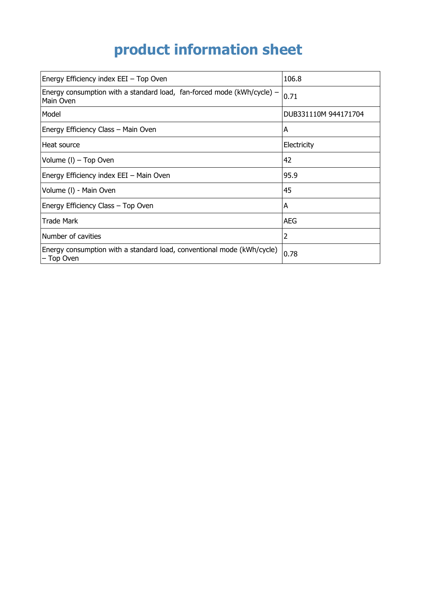## **product information sheet**

| Energy Efficiency index EEI - Top Oven                                                  | 106.8                |
|-----------------------------------------------------------------------------------------|----------------------|
| Energy consumption with a standard load, fan-forced mode ( $kWh/cycle$ ) –<br>Main Oven | 0.71                 |
| Model                                                                                   | DUB331110M 944171704 |
| Energy Efficiency Class - Main Oven                                                     | A                    |
| Heat source                                                                             | Electricity          |
| Volume (I) - Top Oven                                                                   | 42                   |
| Energy Efficiency index EEI - Main Oven                                                 | 95.9                 |
| Volume (I) - Main Oven                                                                  | 45                   |
| Energy Efficiency Class - Top Oven                                                      | A                    |
| <b>Trade Mark</b>                                                                       | AEG                  |
| Number of cavities                                                                      | 2                    |
| Energy consumption with a standard load, conventional mode (kWh/cycle)<br>- Top Oven    | 0.78                 |